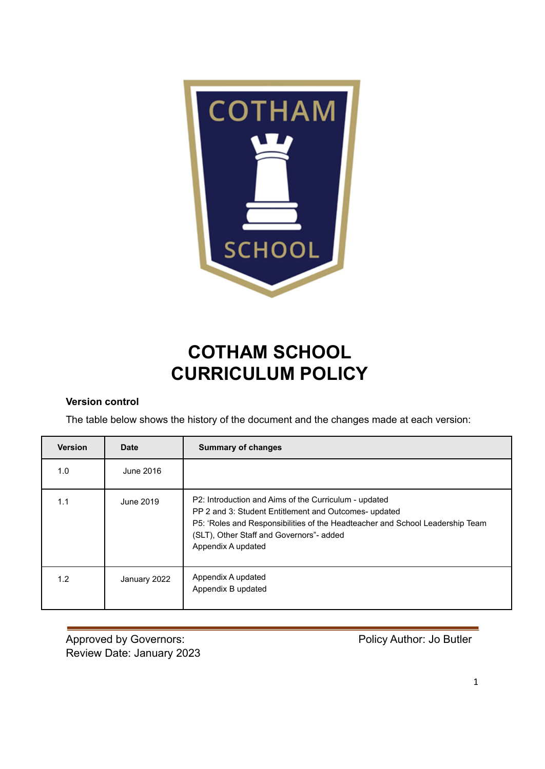

# **COTHAM SCHOOL CURRICULUM POLICY**

## **Version control**

The table below shows the history of the document and the changes made at each version:

| <b>Version</b> | Date         | <b>Summary of changes</b>                                                                                                                                                                                                                                         |
|----------------|--------------|-------------------------------------------------------------------------------------------------------------------------------------------------------------------------------------------------------------------------------------------------------------------|
| 1.0            | June 2016    |                                                                                                                                                                                                                                                                   |
| 1.1            | June 2019    | P2: Introduction and Aims of the Curriculum - updated<br>PP 2 and 3: Student Entitlement and Outcomes- updated<br>P5: 'Roles and Responsibilities of the Headteacher and School Leadership Team<br>(SLT), Other Staff and Governors"- added<br>Appendix A updated |
| 1.2            | January 2022 | Appendix A updated<br>Appendix B updated                                                                                                                                                                                                                          |

Approved by Governors: Approved by Governors: Approved by Governors: Author: Jo Butler Review Date: January 2023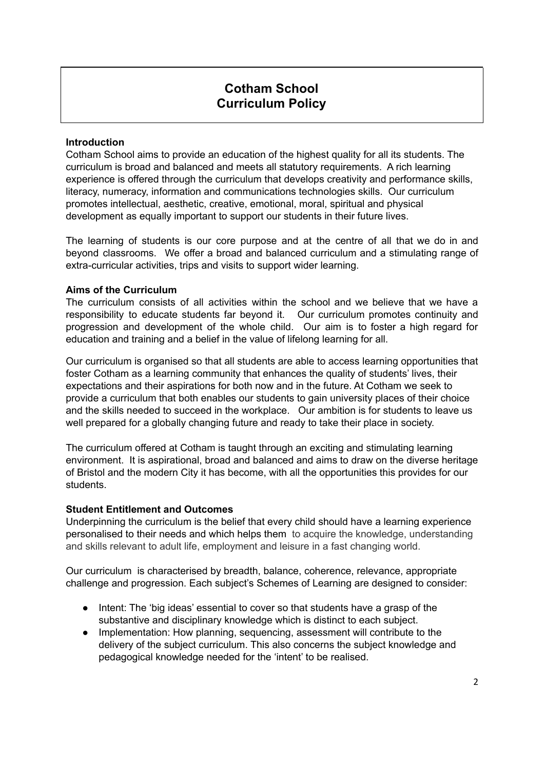# **Cotham School Curriculum Policy**

#### **Introduction**

Cotham School aims to provide an education of the highest quality for all its students. The curriculum is broad and balanced and meets all statutory requirements. A rich learning experience is offered through the curriculum that develops creativity and performance skills, literacy, numeracy, information and communications technologies skills. Our curriculum promotes intellectual, aesthetic, creative, emotional, moral, spiritual and physical development as equally important to support our students in their future lives.

The learning of students is our core purpose and at the centre of all that we do in and beyond classrooms. We offer a broad and balanced curriculum and a stimulating range of extra-curricular activities, trips and visits to support wider learning.

#### **Aims of the Curriculum**

The curriculum consists of all activities within the school and we believe that we have a responsibility to educate students far beyond it. Our curriculum promotes continuity and progression and development of the whole child. Our aim is to foster a high regard for education and training and a belief in the value of lifelong learning for all.

Our curriculum is organised so that all students are able to access learning opportunities that foster Cotham as a learning community that enhances the quality of students' lives, their expectations and their aspirations for both now and in the future. At Cotham we seek to provide a curriculum that both enables our students to gain university places of their choice and the skills needed to succeed in the workplace. Our ambition is for students to leave us well prepared for a globally changing future and ready to take their place in society.

The curriculum offered at Cotham is taught through an exciting and stimulating learning environment. It is aspirational, broad and balanced and aims to draw on the diverse heritage of Bristol and the modern City it has become, with all the opportunities this provides for our students.

#### **Student Entitlement and Outcomes**

Underpinning the curriculum is the belief that every child should have a learning experience personalised to their needs and which helps them to acquire the knowledge, understanding and skills relevant to adult life, employment and leisure in a fast changing world.

Our curriculum is characterised by breadth, balance, coherence, relevance, appropriate challenge and progression. Each subject's Schemes of Learning are designed to consider:

- Intent: The 'big ideas' essential to cover so that students have a grasp of the substantive and disciplinary knowledge which is distinct to each subject.
- Implementation: How planning, sequencing, assessment will contribute to the delivery of the subject curriculum. This also concerns the subject knowledge and pedagogical knowledge needed for the 'intent' to be realised.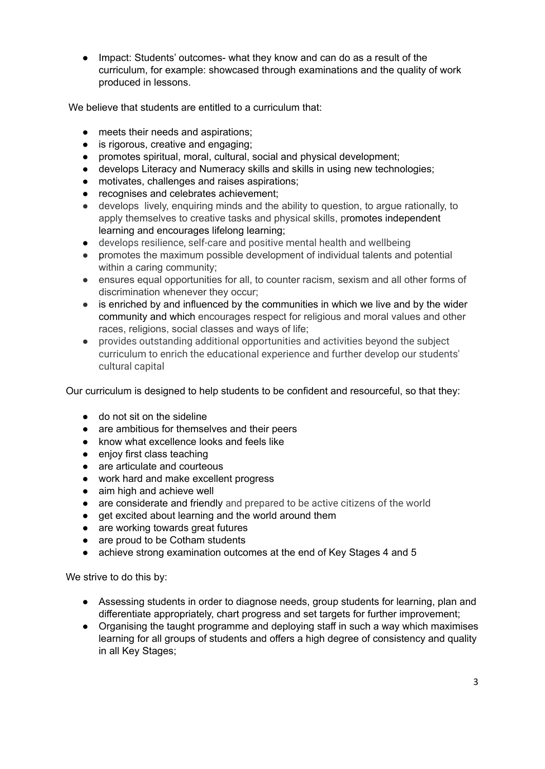● Impact: Students' outcomes- what they know and can do as a result of the curriculum, for example: showcased through examinations and the quality of work produced in lessons.

We believe that students are entitled to a curriculum that:

- meets their needs and aspirations;
- is rigorous, creative and engaging;
- promotes spiritual, moral, cultural, social and physical development;
- develops Literacy and Numeracy skills and skills in using new technologies;
- motivates, challenges and raises aspirations;
- recognises and celebrates achievement;
- develops lively, enquiring minds and the ability to question, to argue rationally, to apply themselves to creative tasks and physical skills, promotes independent learning and encourages lifelong learning;
- develops resilience, self-care and positive mental health and wellbeing
- promotes the maximum possible development of individual talents and potential within a caring community;
- ensures equal opportunities for all, to counter racism, sexism and all other forms of discrimination whenever they occur;
- is enriched by and influenced by the communities in which we live and by the wider community and which encourages respect for religious and moral values and other races, religions, social classes and ways of life;
- provides outstanding additional opportunities and activities beyond the subject curriculum to enrich the educational experience and further develop our students' cultural capital

Our curriculum is designed to help students to be confident and resourceful, so that they:

- do not sit on the sideline
- are ambitious for themselves and their peers
- know what excellence looks and feels like
- enjoy first class teaching
- are articulate and courteous
- work hard and make excellent progress
- aim high and achieve well
- are considerate and friendly and prepared to be active citizens of the world
- get excited about learning and the world around them
- are working towards great futures
- are proud to be Cotham students
- achieve strong examination outcomes at the end of Key Stages 4 and 5

We strive to do this by:

- Assessing students in order to diagnose needs, group students for learning, plan and differentiate appropriately, chart progress and set targets for further improvement;
- Organising the taught programme and deploying staff in such a way which maximises learning for all groups of students and offers a high degree of consistency and quality in all Key Stages;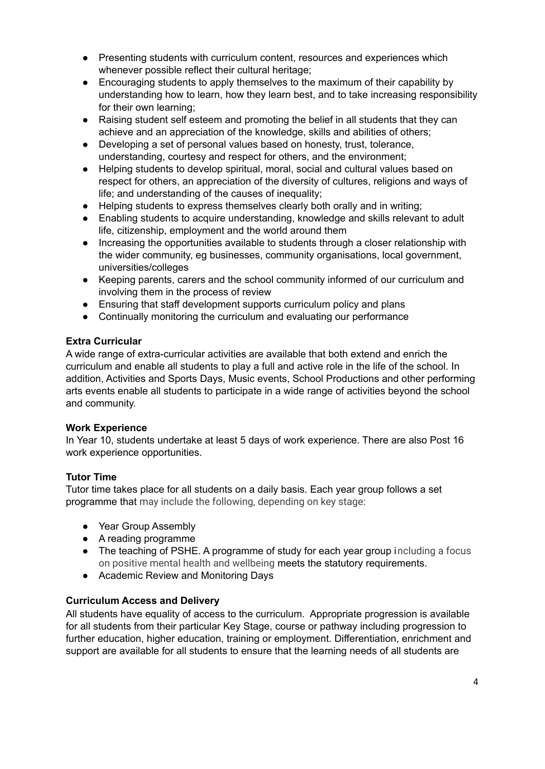- Presenting students with curriculum content, resources and experiences which whenever possible reflect their cultural heritage;
- Encouraging students to apply themselves to the maximum of their capability by understanding how to learn, how they learn best, and to take increasing responsibility for their own learning;
- Raising student self esteem and promoting the belief in all students that they can achieve and an appreciation of the knowledge, skills and abilities of others;
- Developing a set of personal values based on honesty, trust, tolerance, understanding, courtesy and respect for others, and the environment;
- Helping students to develop spiritual, moral, social and cultural values based on respect for others, an appreciation of the diversity of cultures, religions and ways of life; and understanding of the causes of inequality;
- Helping students to express themselves clearly both orally and in writing;
- Enabling students to acquire understanding, knowledge and skills relevant to adult life, citizenship, employment and the world around them
- Increasing the opportunities available to students through a closer relationship with the wider community, eg businesses, community organisations, local government, universities/colleges
- Keeping parents, carers and the school community informed of our curriculum and involving them in the process of review
- Ensuring that staff development supports curriculum policy and plans
- Continually monitoring the curriculum and evaluating our performance

#### **Extra Curricular**

A wide range of extra-curricular activities are available that both extend and enrich the curriculum and enable all students to play a full and active role in the life of the school. In addition, Activities and Sports Days, Music events, School Productions and other performing arts events enable all students to participate in a wide range of activities beyond the school and community.

## **Work Experience**

In Year 10, students undertake at least 5 days of work experience. There are also Post 16 work experience opportunities.

## **Tutor Time**

Tutor time takes place for all students on a daily basis. Each year group follows a set programme that may include the following, depending on key stage:

- Year Group Assembly
- A reading programme
- The teaching of PSHE. A programme of study for each year group including a focus on positive mental health and wellbeing meets the statutory requirements.
- Academic Review and Monitoring Days

## **Curriculum Access and Delivery**

All students have equality of access to the curriculum. Appropriate progression is available for all students from their particular Key Stage, course or pathway including progression to further education, higher education, training or employment. Differentiation, enrichment and support are available for all students to ensure that the learning needs of all students are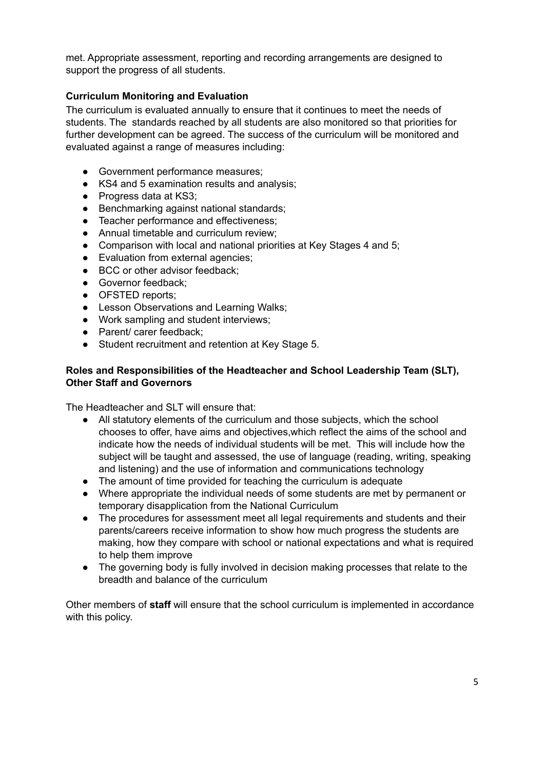met. Appropriate assessment, reporting and recording arrangements are designed to support the progress of all students.

## **Curriculum Monitoring and Evaluation**

The curriculum is evaluated annually to ensure that it continues to meet the needs of students. The standards reached by all students are also monitored so that priorities for further development can be agreed. The success of the curriculum will be monitored and evaluated against a range of measures including:

- Government performance measures;
- KS4 and 5 examination results and analysis;
- Progress data at KS3;
- Benchmarking against national standards;
- Teacher performance and effectiveness;
- Annual timetable and curriculum review;
- Comparison with local and national priorities at Key Stages 4 and 5;
- Evaluation from external agencies;
- BCC or other advisor feedback;
- Governor feedback;
- OFSTED reports;
- Lesson Observations and Learning Walks;
- Work sampling and student interviews;
- Parent/ carer feedback;
- Student recruitment and retention at Key Stage 5.

#### **Roles and Responsibilities of the Headteacher and School Leadership Team (SLT), Other Staff and Governors**

The Headteacher and SLT will ensure that:

- All statutory elements of the curriculum and those subjects, which the school chooses to offer, have aims and objectives,which reflect the aims of the school and indicate how the needs of individual students will be met. This will include how the subject will be taught and assessed, the use of language (reading, writing, speaking and listening) and the use of information and communications technology
- The amount of time provided for teaching the curriculum is adequate
- Where appropriate the individual needs of some students are met by permanent or temporary disapplication from the National Curriculum
- The procedures for assessment meet all legal requirements and students and their parents/careers receive information to show how much progress the students are making, how they compare with school or national expectations and what is required to help them improve
- The governing body is fully involved in decision making processes that relate to the breadth and balance of the curriculum

Other members of **staff** will ensure that the school curriculum is implemented in accordance with this policy.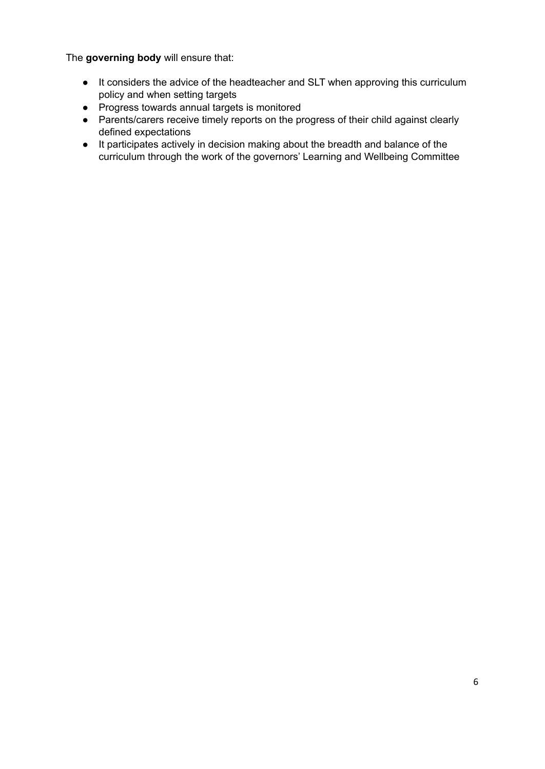The **governing body** will ensure that:

- It considers the advice of the headteacher and SLT when approving this curriculum policy and when setting targets
- Progress towards annual targets is monitored
- Parents/carers receive timely reports on the progress of their child against clearly defined expectations
- It participates actively in decision making about the breadth and balance of the curriculum through the work of the governors' Learning and Wellbeing Committee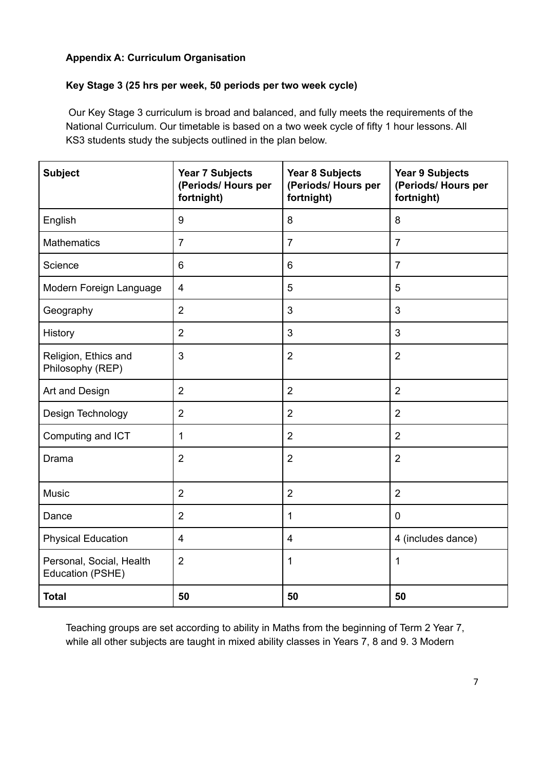## **Appendix A: Curriculum Organisation**

## **Key Stage 3 (25 hrs per week, 50 periods per two week cycle)**

Our Key Stage 3 curriculum is broad and balanced, and fully meets the requirements of the National Curriculum. Our timetable is based on a two week cycle of fifty 1 hour lessons. All KS3 students study the subjects outlined in the plan below.

| <b>Subject</b>                               | <b>Year 7 Subjects</b><br>(Periods/ Hours per<br>fortnight) | <b>Year 8 Subjects</b><br>(Periods/Hours per<br>fortnight) | <b>Year 9 Subjects</b><br>(Periods/Hours per<br>fortnight) |
|----------------------------------------------|-------------------------------------------------------------|------------------------------------------------------------|------------------------------------------------------------|
| English                                      | 9                                                           | 8                                                          | 8                                                          |
| <b>Mathematics</b>                           | $\overline{7}$                                              | $\overline{7}$                                             | $\overline{7}$                                             |
| Science                                      | 6                                                           | $6\phantom{1}$                                             | $\overline{7}$                                             |
| Modern Foreign Language                      | 4                                                           | $\overline{5}$                                             | 5                                                          |
| Geography                                    | $\overline{2}$                                              | $\mathfrak{B}$                                             | 3                                                          |
| History                                      | $\overline{2}$                                              | $\mathfrak{S}$                                             | 3                                                          |
| Religion, Ethics and<br>Philosophy (REP)     | 3                                                           | $\overline{2}$                                             | $\overline{2}$                                             |
| Art and Design                               | $\overline{2}$                                              | $\overline{2}$                                             | $\overline{2}$                                             |
| Design Technology                            | $\overline{2}$                                              | $\overline{2}$                                             | $\overline{2}$                                             |
| Computing and ICT                            | 1                                                           | $\overline{2}$                                             | $\overline{2}$                                             |
| Drama                                        | $\overline{2}$                                              | $\overline{2}$                                             | $\overline{2}$                                             |
| <b>Music</b>                                 | $\overline{2}$                                              | $\overline{2}$                                             | $\overline{2}$                                             |
| Dance                                        | $\overline{2}$                                              | 1                                                          | $\pmb{0}$                                                  |
| <b>Physical Education</b>                    | 4                                                           | $\overline{\mathbf{4}}$                                    | 4 (includes dance)                                         |
| Personal, Social, Health<br>Education (PSHE) | $\overline{2}$                                              | 1                                                          | 1                                                          |
| <b>Total</b>                                 | 50                                                          | 50                                                         | 50                                                         |

Teaching groups are set according to ability in Maths from the beginning of Term 2 Year 7, while all other subjects are taught in mixed ability classes in Years 7, 8 and 9. 3 Modern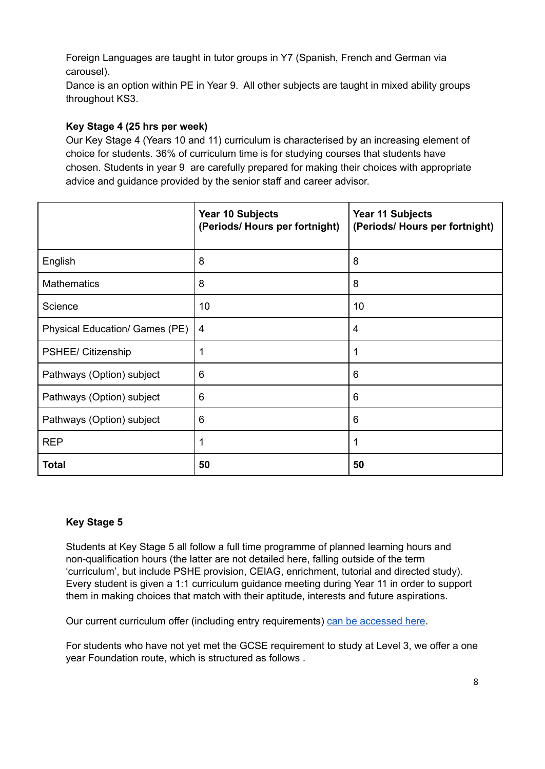Foreign Languages are taught in tutor groups in Y7 (Spanish, French and German via carousel).

Dance is an option within PE in Year 9. All other subjects are taught in mixed ability groups throughout KS3.

## **Key Stage 4 (25 hrs per week)**

Our Key Stage 4 (Years 10 and 11) curriculum is characterised by an increasing element of choice for students. 36% of curriculum time is for studying courses that students have chosen. Students in year 9 are carefully prepared for making their choices with appropriate advice and guidance provided by the senior staff and career advisor.

|                                | Year 10 Subjects<br>(Periods/Hours per fortnight) | Year 11 Subjects<br>(Periods/Hours per fortnight) |
|--------------------------------|---------------------------------------------------|---------------------------------------------------|
| English                        | 8                                                 | 8                                                 |
| <b>Mathematics</b>             | 8                                                 | 8                                                 |
| Science                        | 10                                                | 10                                                |
| Physical Education/ Games (PE) | 4                                                 | 4                                                 |
| PSHEE/ Citizenship             |                                                   |                                                   |
| Pathways (Option) subject      | 6                                                 | 6                                                 |
| Pathways (Option) subject      | 6                                                 | 6                                                 |
| Pathways (Option) subject      | 6                                                 | 6                                                 |
| <b>REP</b>                     | 1                                                 | 1                                                 |
| <b>Total</b>                   | 50                                                | 50                                                |

## **Key Stage 5**

Students at Key Stage 5 all follow a full time programme of planned learning hours and non-qualification hours (the latter are not detailed here, falling outside of the term 'curriculum', but include PSHE provision, CEIAG, enrichment, tutorial and directed study). Every student is given a 1:1 curriculum guidance meeting during Year 11 in order to support them in making choices that match with their aptitude, interests and future aspirations.

Our current curriculum offer (including entry requirements) can be [accessed](http://www.nbp16c.org.uk/Study-With-Us/Courses/) here.

For students who have not yet met the GCSE requirement to study at Level 3, we offer a one year Foundation route, which is structured as follows .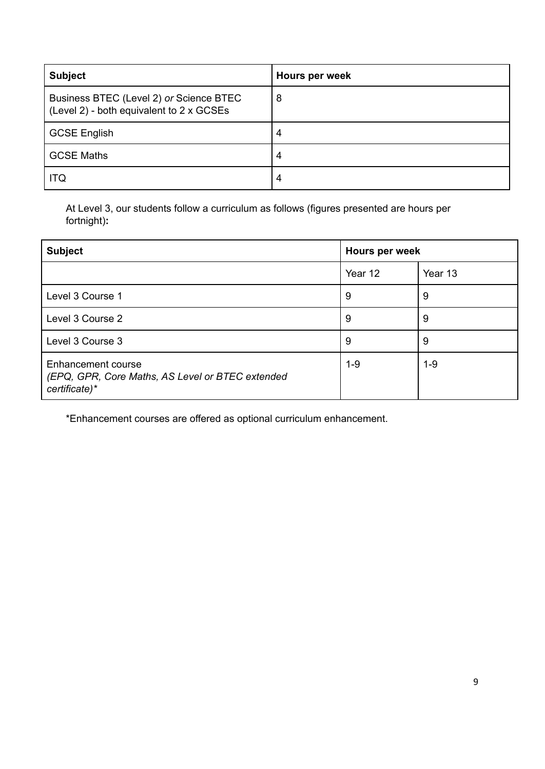| <b>Subject</b>                                                                      | Hours per week |
|-------------------------------------------------------------------------------------|----------------|
| Business BTEC (Level 2) or Science BTEC<br>(Level 2) - both equivalent to 2 x GCSEs | 8              |
| <b>GCSE English</b>                                                                 | 4              |
| <b>GCSE Maths</b>                                                                   | 4              |
| ITQ                                                                                 | 4              |

At Level 3, our students follow a curriculum as follows (figures presented are hours per fortnight)**:**

| <b>Subject</b>                                                                          | Hours per week |         |
|-----------------------------------------------------------------------------------------|----------------|---------|
|                                                                                         | Year 12        | Year 13 |
| Level 3 Course 1                                                                        | 9              | 9       |
| Level 3 Course 2                                                                        | 9              | 9       |
| Level 3 Course 3                                                                        | 9              | 9       |
| Enhancement course<br>(EPQ, GPR, Core Maths, AS Level or BTEC extended<br>certificate)* | $1 - 9$        | $1 - 9$ |

\*Enhancement courses are offered as optional curriculum enhancement.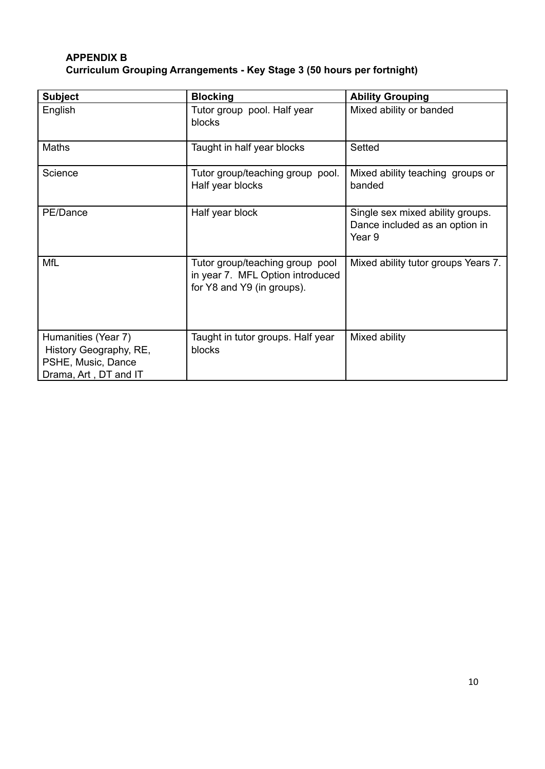# **APPENDIX B Curriculum Grouping Arrangements - Key Stage 3 (50 hours per fortnight)**

| <b>Subject</b>                                                                               | <b>Blocking</b>                                                                                   | <b>Ability Grouping</b>                                                      |
|----------------------------------------------------------------------------------------------|---------------------------------------------------------------------------------------------------|------------------------------------------------------------------------------|
| English                                                                                      | Tutor group pool. Half year<br>blocks                                                             | Mixed ability or banded                                                      |
| Maths                                                                                        | Taught in half year blocks                                                                        | Setted                                                                       |
| Science                                                                                      | Tutor group/teaching group pool.<br>Half year blocks                                              | Mixed ability teaching groups or<br>banded                                   |
| PE/Dance                                                                                     | Half year block                                                                                   | Single sex mixed ability groups.<br>Dance included as an option in<br>Year 9 |
| <b>MfL</b>                                                                                   | Tutor group/teaching group pool<br>in year 7. MFL Option introduced<br>for Y8 and Y9 (in groups). | Mixed ability tutor groups Years 7.                                          |
| Humanities (Year 7)<br>History Geography, RE,<br>PSHE, Music, Dance<br>Drama, Art, DT and IT | Taught in tutor groups. Half year<br>blocks                                                       | Mixed ability                                                                |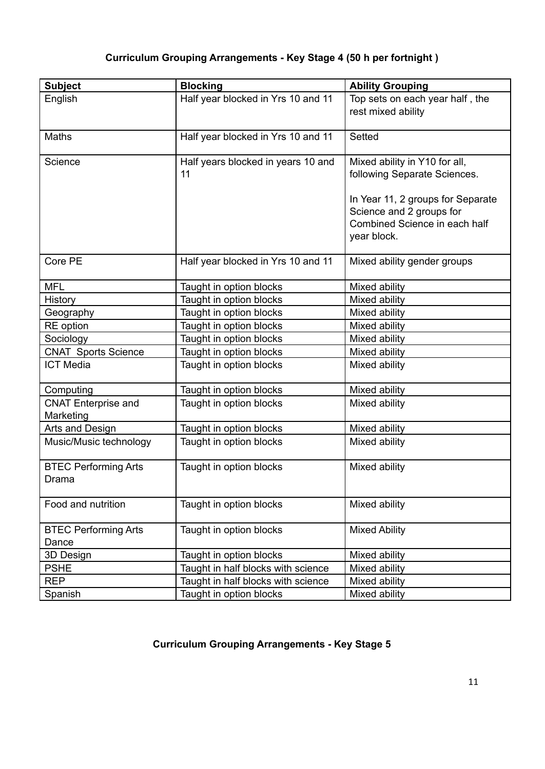# **Curriculum Grouping Arrangements - Key Stage 4 (50 h per fortnight )**

| <b>Subject</b>                          | <b>Blocking</b>                          | <b>Ability Grouping</b>                                                                                                                                                        |
|-----------------------------------------|------------------------------------------|--------------------------------------------------------------------------------------------------------------------------------------------------------------------------------|
| English                                 | Half year blocked in Yrs 10 and 11       | Top sets on each year half, the<br>rest mixed ability                                                                                                                          |
| Maths                                   | Half year blocked in Yrs 10 and 11       | Setted                                                                                                                                                                         |
| Science                                 | Half years blocked in years 10 and<br>11 | Mixed ability in Y10 for all,<br>following Separate Sciences.<br>In Year 11, 2 groups for Separate<br>Science and 2 groups for<br>Combined Science in each half<br>year block. |
| Core PE                                 | Half year blocked in Yrs 10 and 11       | Mixed ability gender groups                                                                                                                                                    |
| <b>MFL</b>                              | Taught in option blocks                  | Mixed ability                                                                                                                                                                  |
| History                                 | Taught in option blocks                  | Mixed ability                                                                                                                                                                  |
| Geography                               | Taught in option blocks                  | Mixed ability                                                                                                                                                                  |
| RE option                               | Taught in option blocks                  | Mixed ability                                                                                                                                                                  |
| Sociology                               | Taught in option blocks                  | Mixed ability                                                                                                                                                                  |
| <b>CNAT Sports Science</b>              | Taught in option blocks                  | Mixed ability                                                                                                                                                                  |
| <b>ICT Media</b>                        | Taught in option blocks                  | Mixed ability                                                                                                                                                                  |
| Computing                               | Taught in option blocks                  | Mixed ability                                                                                                                                                                  |
| <b>CNAT Enterprise and</b><br>Marketing | Taught in option blocks                  | Mixed ability                                                                                                                                                                  |
| Arts and Design                         | Taught in option blocks                  | Mixed ability                                                                                                                                                                  |
| Music/Music technology                  | Taught in option blocks                  | Mixed ability                                                                                                                                                                  |
| <b>BTEC Performing Arts</b><br>Drama    | Taught in option blocks                  | Mixed ability                                                                                                                                                                  |
| Food and nutrition                      | Taught in option blocks                  | Mixed ability                                                                                                                                                                  |
| <b>BTEC Performing Arts</b><br>Dance    | Taught in option blocks                  | <b>Mixed Ability</b>                                                                                                                                                           |
| 3D Design                               | Taught in option blocks                  | Mixed ability                                                                                                                                                                  |
| <b>PSHE</b>                             | Taught in half blocks with science       | Mixed ability                                                                                                                                                                  |
| <b>REP</b>                              | Taught in half blocks with science       | Mixed ability                                                                                                                                                                  |
| Spanish                                 | Taught in option blocks                  | Mixed ability                                                                                                                                                                  |

# **Curriculum Grouping Arrangements - Key Stage 5**